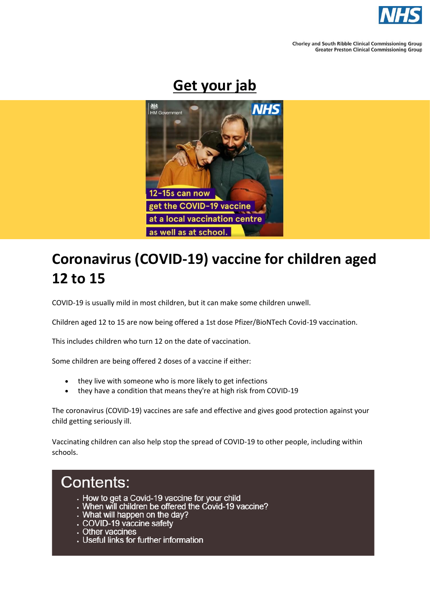

**Chorley and South Ribble Clinical Commissioning Group Greater Preston Clinical Commissioning Group** 

# **Get your jab**



# **Coronavirus (COVID-19) vaccine for children aged 12 to 15**

COVID-19 is usually mild in most children, but it can make some children unwell.

Children aged 12 to 15 are now being offered a 1st dose Pfizer/BioNTech Covid-19 vaccination.

This includes children who turn 12 on the date of vaccination.

Some children are being offered 2 doses of a vaccine if either:

- they live with someone who is more likely to get infections
- they have a condition that means they're at high risk from COVID-19

The coronavirus (COVID-19) vaccines are safe and effective and gives good protection against your child getting seriously ill.

Vaccinating children can also help stop the spread of COVID-19 to other people, including within schools.

# **Contents:**

- How to get a Covid-19 vaccine for your child
- When will children be offered the Covid-19 vaccine?
- What will happen on the day?<br>COVID-19 vaccine safety
- 
- Other vaccines
- Useful links for further information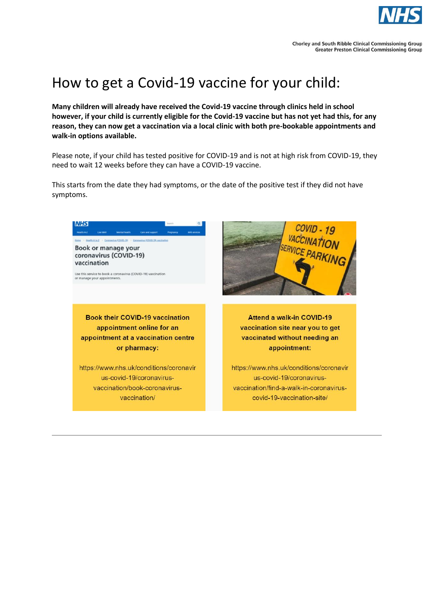

# How to get a Covid-19 vaccine for your child:

**Many children will already have received the Covid-19 vaccine through clinics held in school however, if your child is currently eligible for the Covid-19 vaccine but has not yet had this, for any reason, they can now get a vaccination via a local clinic with both pre-bookable appointments and walk-in options available.**

Please note, if your child has tested positive for COVID-19 and is not at high risk from COVID-19, they need to wait 12 weeks before they can have a COVID-19 vaccine.

This starts from the date they had symptoms, or the date of the positive test if they did not have symptoms.

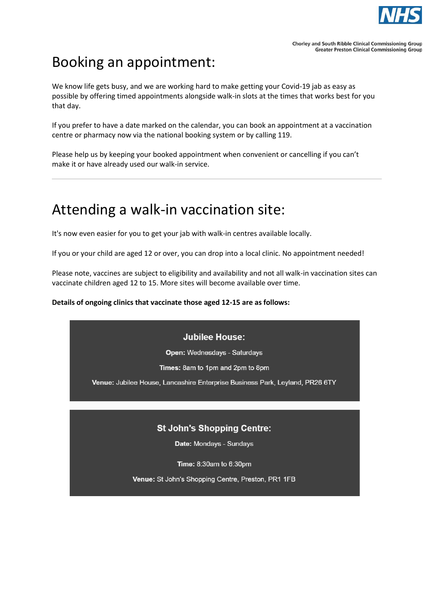

# Booking an appointment:

We know life gets busy, and we are working hard to make getting your Covid-19 jab as easy as possible by offering timed appointments alongside walk-in slots at the times that works best for you that day.

If you prefer to have a date marked on the calendar, you can book an appointment at a vaccination centre or pharmacy now via the national booking system or by calling 119.

Please help us by keeping your booked appointment when convenient or cancelling if you can't make it or have already used our walk-in service.

## Attending a walk-in vaccination site:

It's now even easier for you to get your jab with walk-in centres available locally.

If you or your child are aged 12 or over, you can drop into a local clinic. No appointment needed!

Please note, vaccines are subject to eligibility and availability and not all walk-in vaccination sites can vaccinate children aged 12 to 15. More sites will become available over time.

### **Details of ongoing clinics that vaccinate those aged 12-15 are as follows:**

### **Jubilee House:**

**Open: Wednesdays - Saturdays** 

Times: 8am to 1pm and 2pm to 8pm

Venue: Jubilee House, Lancashire Enterprise Business Park, Leyland, PR26 6TY

### **St John's Shopping Centre:**

Date: Mondays - Sundays

Time: 8:30am to 6:30pm

Venue: St John's Shopping Centre, Preston, PR1 1FB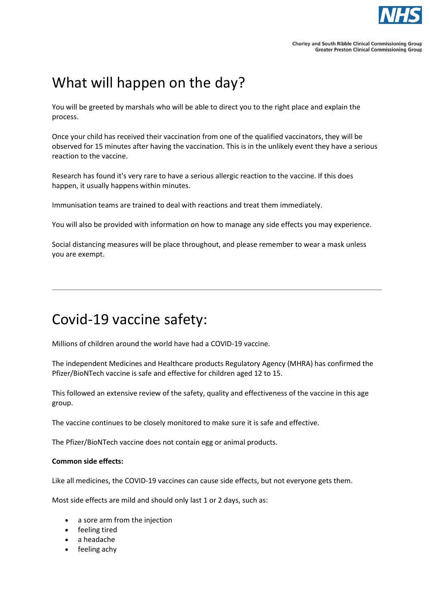

# What will happen on the day?

You will be greeted by marshals who will be able to direct you to the right place and explain the process.

Once your child has received their vaccination from one of the qualified vaccinators, they will be observed for 15 minutes after having the vaccination. This is in the unlikely event they have a serious reaction to the vaccine.

Research has found it's very rare to have a serious allergic reaction to the vaccine. If this does happen, it usually happens within minutes.

Immunisation teams are trained to deal with reactions and treat them immediately.

You will also be provided with information on how to manage any side effects you may experience.

Social distancing measures will be place throughout, and please remember to wear a mask unless you are exempt.

## Covid-19 vaccine safety:

Millions of children around the world have had a COVID-19 vaccine.

The independent Medicines and Healthcare products Regulatory Agency (MHRA) has confirmed the Pfizer/BioNTech vaccine is safe and effective for children aged 12 to 15.

This followed an extensive review of the safety, quality and effectiveness of the vaccine in this age group.

The vaccine continues to be closely monitored to make sure it is safe and effective.

The Pfizer/BioNTech vaccine does not contain egg or animal products.

#### **Common side effects:**

Like all medicines, the COVID-19 vaccines can cause side effects, but not everyone gets them.

Most side effects are mild and should only last 1 or 2 days, such as:

- a sore arm from the injection
- feeling tired
- a headache
- feeling achy